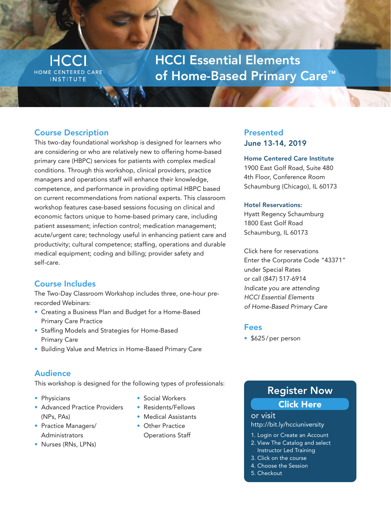**HCCI** HOME CENTERED CARE **INSTITUTE** 

# HCCI Essential Elements of Home-Based Primary Care™

## Course Description

This two-day foundational workshop is designed for learners who are considering or who are relatively new to offering home-based primary care (HBPC) services for patients with complex medical conditions. Through this workshop, clinical providers, practice managers and operations staff will enhance their knowledge, competence, and performance in providing optimal HBPC based on current recommendations from national experts. This classroom workshop features case-based sessions focusing on clinical and economic factors unique to home-based primary care, including patient assessment; infection control; medication management; acute/urgent care; technology useful in enhancing patient care and productivity; cultural competence; staffing, operations and durable medical equipment; coding and billing; provider safety and self-care.

## Course Includes

The Two-Day Classroom Workshop includes three, one-hour prerecorded Webinars:

- Creating a Business Plan and Budget for a Home-Based Primary Care Practice
- Staffing Models and Strategies for Home-Based Primary Care
- Building Value and Metrics in Home-Based Primary Care

## Audience

This workshop is designed for the following types of professionals:

- Physicians
- Advanced Practice Providers (NPs, PAs)
- Practice Managers/ Administrators
- Nurses (RNs, LPNs)
- Social Workers
- Residents/Fellows
- Medical Assistants
- Other Practice Operations Staff

## Presented June 13-14, 2019

### Home Centered Care Institute

1900 East Golf Road, Suite 480 4th Floor, Conference Room Schaumburg (Chicago), IL 60173

### Hotel Reservations:

Hyatt Regency Schaumburg 1800 East Golf Road Schaumburg, IL 60173

[Click here for reservations](https://www.hyatt.com/en-US/hotel/illinois/hyatt-regency-schaumburg-chicago/chirw)  Enter the Corporate Code "43371" under Special Rates or call (847) 517-6914 Indicate you are attending HCCI Essential Elements of Home-Based Primary Care

## Fees

• \$625/per person

## Register Now

## [Click Here](http://bit.ly/hcciuniversity)

or visit http://bit.ly/hcciuniversity

- 1. Login or Create an Account
- 2. View The Catalog and select Instructor Led Training
- 3. Click on the course
- 4. Choose the Session
- 5. Checkout